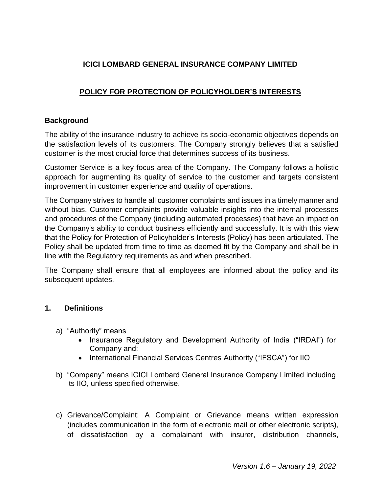# **ICICI LOMBARD GENERAL INSURANCE COMPANY LIMITED**

# **POLICY FOR PROTECTION OF POLICYHOLDER'S INTERESTS**

# **Background**

The ability of the insurance industry to achieve its socio-economic objectives depends on the satisfaction levels of its customers. The Company strongly believes that a satisfied customer is the most crucial force that determines success of its business.

Customer Service is a key focus area of the Company. The Company follows a holistic approach for augmenting its quality of service to the customer and targets consistent improvement in customer experience and quality of operations.

The Company strives to handle all customer complaints and issues in a timely manner and without bias. Customer complaints provide valuable insights into the internal processes and procedures of the Company (including automated processes) that have an impact on the Company's ability to conduct business efficiently and successfully. It is with this view that the Policy for Protection of Policyholder's Interests (Policy) has been articulated. The Policy shall be updated from time to time as deemed fit by the Company and shall be in line with the Regulatory requirements as and when prescribed.

The Company shall ensure that all employees are informed about the policy and its subsequent updates.

# **1. Definitions**

- a) "Authority" means
	- Insurance Regulatory and Development Authority of India ("IRDAI") for Company and;
	- International Financial Services Centres Authority ("IFSCA") for IIO
- b) "Company" means ICICI Lombard General Insurance Company Limited including its IIO, unless specified otherwise.
- c) Grievance/Complaint: A Complaint or Grievance means written expression (includes communication in the form of electronic mail or other electronic scripts), of dissatisfaction by a complainant with insurer, distribution channels,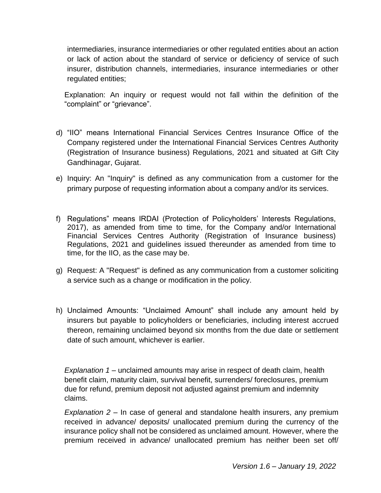intermediaries, insurance intermediaries or other regulated entities about an action or lack of action about the standard of service or deficiency of service of such insurer, distribution channels, intermediaries, insurance intermediaries or other regulated entities;

Explanation: An inquiry or request would not fall within the definition of the "complaint" or "grievance".

- d) "IIO" means International Financial Services Centres Insurance Office of the Company registered under the International Financial Services Centres Authority (Registration of Insurance business) Regulations, 2021 and situated at Gift City Gandhinagar, Gujarat.
- e) Inquiry: An "Inquiry" is defined as any communication from a customer for the primary purpose of requesting information about a company and/or its services.
- f) Regulations" means IRDAI (Protection of Policyholders' Interests Regulations, 2017), as amended from time to time, for the Company and/or International Financial Services Centres Authority (Registration of Insurance business) Regulations, 2021 and guidelines issued thereunder as amended from time to time, for the IIO, as the case may be.
- g) Request: A "Request" is defined as any communication from a customer soliciting a service such as a change or modification in the policy.
- h) Unclaimed Amounts: "Unclaimed Amount" shall include any amount held by insurers but payable to policyholders or beneficiaries, including interest accrued thereon, remaining unclaimed beyond six months from the due date or settlement date of such amount, whichever is earlier.

*Explanation 1* – unclaimed amounts may arise in respect of death claim, health benefit claim, maturity claim, survival benefit, surrenders/ foreclosures, premium due for refund, premium deposit not adjusted against premium and indemnity claims.

*Explanation 2* – In case of general and standalone health insurers, any premium received in advance/ deposits/ unallocated premium during the currency of the insurance policy shall not be considered as unclaimed amount. However, where the premium received in advance/ unallocated premium has neither been set off/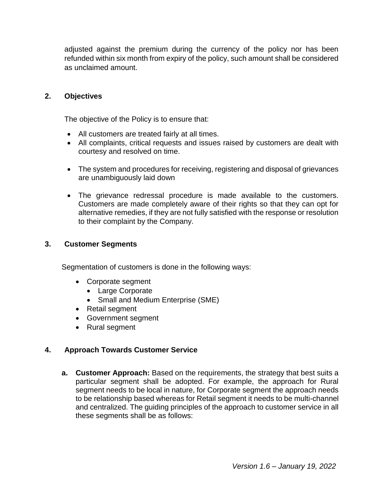adjusted against the premium during the currency of the policy nor has been refunded within six month from expiry of the policy, such amount shall be considered as unclaimed amount.

#### **2. Objectives**

The objective of the Policy is to ensure that:

- All customers are treated fairly at all times.
- All complaints, critical requests and issues raised by customers are dealt with courtesy and resolved on time.
- The system and procedures for receiving, registering and disposal of grievances are unambiguously laid down
- The grievance redressal procedure is made available to the customers. Customers are made completely aware of their rights so that they can opt for alternative remedies, if they are not fully satisfied with the response or resolution to their complaint by the Company.

#### **3. Customer Segments**

Segmentation of customers is done in the following ways:

- Corporate segment
	- Large Corporate
	- Small and Medium Enterprise (SME)
- Retail segment
- Government segment
- Rural segment

# **4. Approach Towards Customer Service**

**a. Customer Approach:** Based on the requirements, the strategy that best suits a particular segment shall be adopted. For example, the approach for Rural segment needs to be local in nature, for Corporate segment the approach needs to be relationship based whereas for Retail segment it needs to be multi-channel and centralized. The guiding principles of the approach to customer service in all these segments shall be as follows: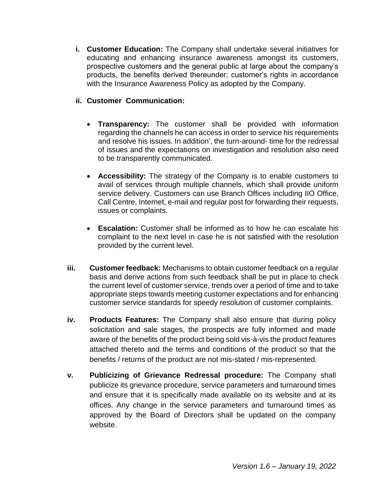**i. Customer Education:** The Company shall undertake several initiatives for educating and enhancing insurance awareness amongst its customers, prospective customers and the general public at large about the company's products, the benefits derived thereunder; customer's rights in accordance with the Insurance Awareness Policy as adopted by the Company.

# **ii. Customer Communication:**

- **Transparency:** The customer shall be provided with information regarding the channels he can access in order to service his requirements and resolve his issues. In addition', the turn-around- time for the redressal of issues and the expectations on investigation and resolution also need to be transparently communicated.
- **Accessibility:** The strategy of the Company is to enable customers to avail of services through multiple channels, which shall provide uniform service delivery. Customers can use Branch Offices including IIO Office, Call Centre, Internet, e-mail and regular post for forwarding their requests, issues or complaints.
- **Escalation:** Customer shall be informed as to how he can escalate his complaint to the next level in case he is not satisfied with the resolution provided by the current level.
- **iii. Customer feedback:** Mechanisms to obtain customer feedback on a regular basis and derive actions from such feedback shall be put in place to check the current level of customer service, trends over a period of time and to take appropriate steps towards meeting customer expectations and for enhancing customer service standards for speedy resolution of customer complaints.
- **iv. Products Features:** The Company shall also ensure that during policy solicitation and sale stages, the prospects are fully informed and made aware of the benefits of the product being sold vis-à-vis the product features attached thereto and the terms and conditions of the product so that the benefits / returns of the product are not mis-stated / mis-represented.
- **v. Publicizing of Grievance Redressal procedure:** The Company shall publicize its grievance procedure, service parameters and turnaround times and ensure that it is specifically made available on its website and at its offices. Any change in the service parameters and turnaround times as approved by the Board of Directors shall be updated on the company website.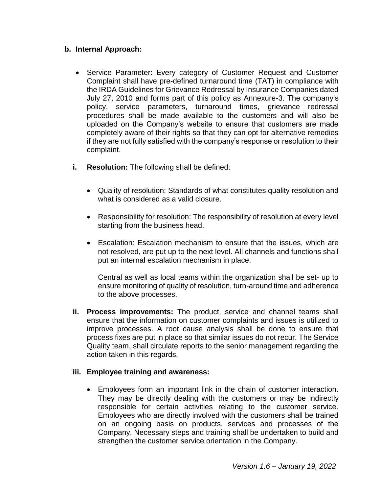# **b. Internal Approach:**

- Service Parameter: Every category of Customer Request and Customer Complaint shall have pre-defined turnaround time (TAT) in compliance with the IRDA Guidelines for Grievance Redressal by Insurance Companies dated July 27, 2010 and forms part of this policy as Annexure-3. The company's policy, service parameters, turnaround times, grievance redressal procedures shall be made available to the customers and will also be uploaded on the Company's website to ensure that customers are made completely aware of their rights so that they can opt for alternative remedies if they are not fully satisfied with the company's response or resolution to their complaint.
- **i. Resolution:** The following shall be defined:
	- Quality of resolution: Standards of what constitutes quality resolution and what is considered as a valid closure.
	- Responsibility for resolution: The responsibility of resolution at every level starting from the business head.
	- Escalation: Escalation mechanism to ensure that the issues, which are not resolved, are put up to the next level. All channels and functions shall put an internal escalation mechanism in place.

Central as well as local teams within the organization shall be set- up to ensure monitoring of quality of resolution, turn-around time and adherence to the above processes.

**ii. Process improvements:** The product, service and channel teams shall ensure that the information on customer complaints and issues is utilized to improve processes. A root cause analysis shall be done to ensure that process fixes are put in place so that similar issues do not recur. The Service Quality team, shall circulate reports to the senior management regarding the action taken in this regards.

# **iii. Employee training and awareness:**

 Employees form an important link in the chain of customer interaction. They may be directly dealing with the customers or may be indirectly responsible for certain activities relating to the customer service. Employees who are directly involved with the customers shall be trained on an ongoing basis on products, services and processes of the Company. Necessary steps and training shall be undertaken to build and strengthen the customer service orientation in the Company.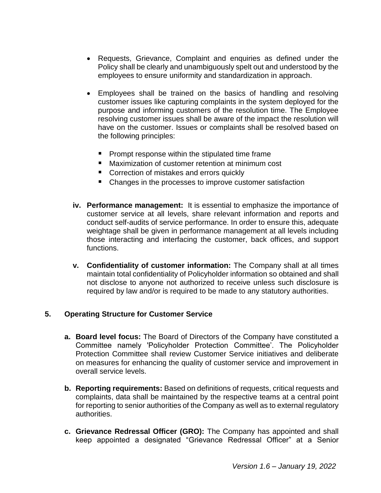- Requests, Grievance, Complaint and enquiries as defined under the Policy shall be clearly and unambiguously spelt out and understood by the employees to ensure uniformity and standardization in approach.
- Employees shall be trained on the basics of handling and resolving customer issues like capturing complaints in the system deployed for the purpose and informing customers of the resolution time. The Employee resolving customer issues shall be aware of the impact the resolution will have on the customer. Issues or complaints shall be resolved based on the following principles:
	- **Prompt response within the stipulated time frame**
	- **Maximization of customer retention at minimum cost**
	- **Correction of mistakes and errors quickly**
	- Changes in the processes to improve customer satisfaction
- **iv. Performance management:** It is essential to emphasize the importance of customer service at all levels, share relevant information and reports and conduct self-audits of service performance. In order to ensure this, adequate weightage shall be given in performance management at all levels including those interacting and interfacing the customer, back offices, and support functions.
- **v. Confidentiality of customer information:** The Company shall at all times maintain total confidentiality of Policyholder information so obtained and shall not disclose to anyone not authorized to receive unless such disclosure is required by law and/or is required to be made to any statutory authorities.

# **5. Operating Structure for Customer Service**

- **a. Board level focus:** The Board of Directors of the Company have constituted a Committee namely 'Policyholder Protection Committee'. The Policyholder Protection Committee shall review Customer Service initiatives and deliberate on measures for enhancing the quality of customer service and improvement in overall service levels.
- **b. Reporting requirements:** Based on definitions of requests, critical requests and complaints, data shall be maintained by the respective teams at a central point for reporting to senior authorities of the Company as well as to external regulatory authorities.
- **c. Grievance Redressal Officer (GRO):** The Company has appointed and shall keep appointed a designated "Grievance Redressal Officer" at a Senior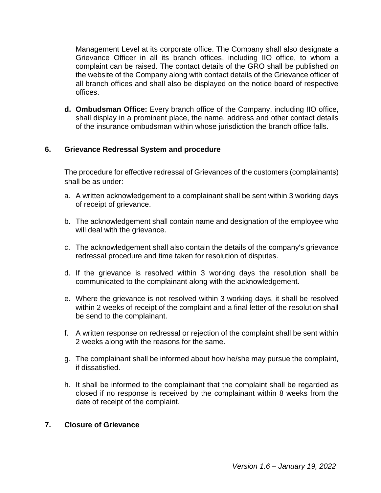Management Level at its corporate office. The Company shall also designate a Grievance Officer in all its branch offices, including IIO office, to whom a complaint can be raised. The contact details of the GRO shall be published on the website of the Company along with contact details of the Grievance officer of all branch offices and shall also be displayed on the notice board of respective offices.

**d. Ombudsman Office:** Every branch office of the Company, including IIO office, shall display in a prominent place, the name, address and other contact details of the insurance ombudsman within whose jurisdiction the branch office falls.

# **6. Grievance Redressal System and procedure**

The procedure for effective redressal of Grievances of the customers (complainants) shall be as under:

- a. A written acknowledgement to a complainant shall be sent within 3 working days of receipt of grievance.
- b. The acknowledgement shall contain name and designation of the employee who will deal with the grievance.
- c. The acknowledgement shall also contain the details of the company's grievance redressal procedure and time taken for resolution of disputes.
- d. If the grievance is resolved within 3 working days the resolution shall be communicated to the complainant along with the acknowledgement.
- e. Where the grievance is not resolved within 3 working days, it shall be resolved within 2 weeks of receipt of the complaint and a final letter of the resolution shall be send to the complainant.
- f. A written response on redressal or rejection of the complaint shall be sent within 2 weeks along with the reasons for the same.
- g. The complainant shall be informed about how he/she may pursue the complaint, if dissatisfied.
- h. It shall be informed to the complainant that the complaint shall be regarded as closed if no response is received by the complainant within 8 weeks from the date of receipt of the complaint.

# **7. Closure of Grievance**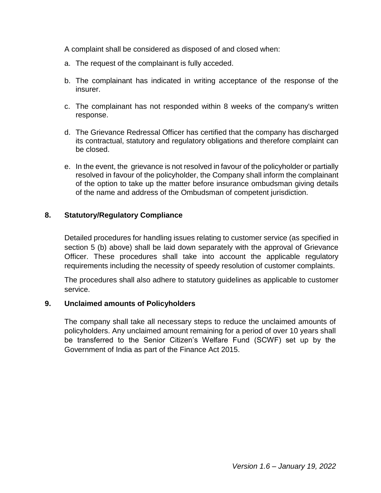A complaint shall be considered as disposed of and closed when:

- a. The request of the complainant is fully acceded.
- b. The complainant has indicated in writing acceptance of the response of the insurer.
- c. The complainant has not responded within 8 weeks of the company's written response.
- d. The Grievance Redressal Officer has certified that the company has discharged its contractual, statutory and regulatory obligations and therefore complaint can be closed.
- e. In the event, the grievance is not resolved in favour of the policyholder or partially resolved in favour of the policyholder, the Company shall inform the complainant of the option to take up the matter before insurance ombudsman giving details of the name and address of the Ombudsman of competent jurisdiction.

# **8. Statutory/Regulatory Compliance**

Detailed procedures for handling issues relating to customer service (as specified in section 5 (b) above) shall be laid down separately with the approval of Grievance Officer. These procedures shall take into account the applicable regulatory requirements including the necessity of speedy resolution of customer complaints.

The procedures shall also adhere to statutory guidelines as applicable to customer service.

# **9. Unclaimed amounts of Policyholders**

The company shall take all necessary steps to reduce the unclaimed amounts of policyholders. Any unclaimed amount remaining for a period of over 10 years shall be transferred to the Senior Citizen's Welfare Fund (SCWF) set up by the Government of India as part of the Finance Act 2015.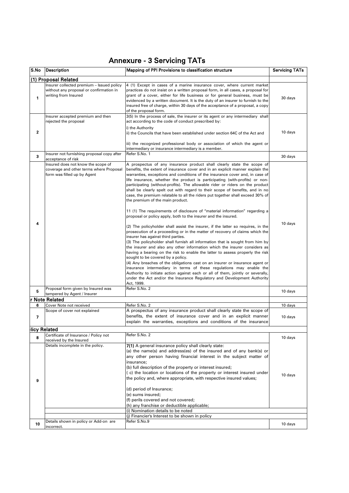# Annexure - 3 Servicing TATs

| S.No         | Description                                                                                                  | Mapping of PPI Provisions to classification structure                                                                                                                                                                                                                                                                                                                                                                                                                                                                                                                                                                                                                                                                                                                                                                                                                                                                                                                                                                                                                                                                                                                                                                                                                                                                                                                                                               | <b>Servicing TATs</b> |
|--------------|--------------------------------------------------------------------------------------------------------------|---------------------------------------------------------------------------------------------------------------------------------------------------------------------------------------------------------------------------------------------------------------------------------------------------------------------------------------------------------------------------------------------------------------------------------------------------------------------------------------------------------------------------------------------------------------------------------------------------------------------------------------------------------------------------------------------------------------------------------------------------------------------------------------------------------------------------------------------------------------------------------------------------------------------------------------------------------------------------------------------------------------------------------------------------------------------------------------------------------------------------------------------------------------------------------------------------------------------------------------------------------------------------------------------------------------------------------------------------------------------------------------------------------------------|-----------------------|
|              | (1) Proposal Related                                                                                         |                                                                                                                                                                                                                                                                                                                                                                                                                                                                                                                                                                                                                                                                                                                                                                                                                                                                                                                                                                                                                                                                                                                                                                                                                                                                                                                                                                                                                     |                       |
| 1            | Insurer collected premium - Issued policy<br>without any proposal or confirmation in<br>writing from Insured | 4 (1) Except in cases of a marine insurance cover, where current market<br>practices do not insist on a written proposal form, in all cases, a proposal for<br>grant of a cover, either for life business or for general business, must be<br>evidenced by a written document. It is the duty of an insurer to furnish to the<br>insured free of charge, within 30 days of the acceptance of a proposal, a copy<br>of the proposal form.                                                                                                                                                                                                                                                                                                                                                                                                                                                                                                                                                                                                                                                                                                                                                                                                                                                                                                                                                                            | 30 days               |
|              | Insurer accepted premium and then<br>rejected the proposal                                                   | 3(5) In the process of sale, the insurer or its agent or any intermediary shall<br>act according to the code of conduct prescribed by:                                                                                                                                                                                                                                                                                                                                                                                                                                                                                                                                                                                                                                                                                                                                                                                                                                                                                                                                                                                                                                                                                                                                                                                                                                                                              |                       |
| $\mathbf{2}$ |                                                                                                              | i) the Authority<br>ii) the Councils that have been established under section 64C of the Act and                                                                                                                                                                                                                                                                                                                                                                                                                                                                                                                                                                                                                                                                                                                                                                                                                                                                                                                                                                                                                                                                                                                                                                                                                                                                                                                    | 10 days               |
|              |                                                                                                              | iii) the recognized professional body or association of which the agent or<br>intermediary or insurance intermediary is a member.                                                                                                                                                                                                                                                                                                                                                                                                                                                                                                                                                                                                                                                                                                                                                                                                                                                                                                                                                                                                                                                                                                                                                                                                                                                                                   |                       |
| 3            | Insurer not furnishing proposal copy after<br>acceptance of risk                                             | Refer S.No. 1                                                                                                                                                                                                                                                                                                                                                                                                                                                                                                                                                                                                                                                                                                                                                                                                                                                                                                                                                                                                                                                                                                                                                                                                                                                                                                                                                                                                       | 30 days               |
| 4            | Insured does not know the scope of<br>coverage and other terms where Proposal<br>form was filled up by Agent | A prospectus of any insurance product shall clearly state the scope of<br>benefits, the extent of insurance cover and in an explicit manner explain the<br>warranties, exceptions and conditions of the insurance cover and, in case of<br>life insurance, whether the product is participating (with-profits) or non-<br>participating (without-profits). The allowable rider or riders on the product<br>shall be clearly spelt out with regard to their scope of benefits, and in no<br>case, the premium relatable to all the riders put together shall exceed 30% of<br>the premium of the main product.<br>11 (1) The requirements of disclosure of "material information" regarding a<br>proposal or policy apply, both to the insurer and the insured.<br>(2) The policyholder shall assist the insurer, if the latter so requires, in the<br>prosecution of a proceeding or in the matter of recovery of claims which the<br>insurer has against third parties.<br>(3) The policyholder shall furnish all information that is sought from him by<br>the insurer and also any other information which the insurer considers as<br>having a bearing on the risk to enable the latter to assess properly the risk<br>sought to be covered by a policy.<br>(4) Any breaches of the obligations cast on an insurer or insurance agent or<br>insurance intermediary in terms of these regulations may enable the | 10 days               |
| 5            | Proposal form given by Insured was                                                                           | Authority to initiate action against each or all of them, jointly or severally,<br>under the Act and/or the Insurance Regulatory and Development Authority<br>Act, 1999.<br>Refer S.No. 2                                                                                                                                                                                                                                                                                                                                                                                                                                                                                                                                                                                                                                                                                                                                                                                                                                                                                                                                                                                                                                                                                                                                                                                                                           | 10 days               |
|              | tampered by Agent / Insurer<br>r Note Related                                                                |                                                                                                                                                                                                                                                                                                                                                                                                                                                                                                                                                                                                                                                                                                                                                                                                                                                                                                                                                                                                                                                                                                                                                                                                                                                                                                                                                                                                                     |                       |
| 6            | Cover Note not received                                                                                      | Refer S.No. 2                                                                                                                                                                                                                                                                                                                                                                                                                                                                                                                                                                                                                                                                                                                                                                                                                                                                                                                                                                                                                                                                                                                                                                                                                                                                                                                                                                                                       | 10 days               |
| 7            | Scope of cover not explained                                                                                 | A prospectus of any insurance product shall clearly state the scope of<br>benefits, the extent of insurance cover and in an explicit manner<br>explain the warranties, exceptions and conditions of the insurance                                                                                                                                                                                                                                                                                                                                                                                                                                                                                                                                                                                                                                                                                                                                                                                                                                                                                                                                                                                                                                                                                                                                                                                                   | 10 days               |
|              | <b>licy Related</b>                                                                                          |                                                                                                                                                                                                                                                                                                                                                                                                                                                                                                                                                                                                                                                                                                                                                                                                                                                                                                                                                                                                                                                                                                                                                                                                                                                                                                                                                                                                                     |                       |
| 8            | Certificate of Insurance / Policy not                                                                        | Refer S.No. 2                                                                                                                                                                                                                                                                                                                                                                                                                                                                                                                                                                                                                                                                                                                                                                                                                                                                                                                                                                                                                                                                                                                                                                                                                                                                                                                                                                                                       | 10 days               |
|              | received by the Insured<br>Details incomplete in the policy.                                                 | 7(1) A general insurance policy shall clearly state:<br>(a) the name(s) and address(es) of the insured and of any bank(s) or<br>any other person having financial interest in the subject matter of<br>insurance;<br>(b) full description of the property or interest insured;<br>(c) the location or locations of the property or interest insured under                                                                                                                                                                                                                                                                                                                                                                                                                                                                                                                                                                                                                                                                                                                                                                                                                                                                                                                                                                                                                                                           | 10 days               |
| 9            |                                                                                                              | the policy and, where appropriate, with respective insured values;<br>(d) period of Insurance;<br>(e) sums insured;<br>(f) perils covered and not covered;<br>(h) any franchise or deductible applicable;<br>(i) Nomination details to be noted                                                                                                                                                                                                                                                                                                                                                                                                                                                                                                                                                                                                                                                                                                                                                                                                                                                                                                                                                                                                                                                                                                                                                                     |                       |
|              |                                                                                                              | (i) Financier's Interest to be shown in policy                                                                                                                                                                                                                                                                                                                                                                                                                                                                                                                                                                                                                                                                                                                                                                                                                                                                                                                                                                                                                                                                                                                                                                                                                                                                                                                                                                      |                       |
| 10           | Details shown in policy or Add-on are<br>incorrect.                                                          | Refer S.No.9                                                                                                                                                                                                                                                                                                                                                                                                                                                                                                                                                                                                                                                                                                                                                                                                                                                                                                                                                                                                                                                                                                                                                                                                                                                                                                                                                                                                        | 10 days               |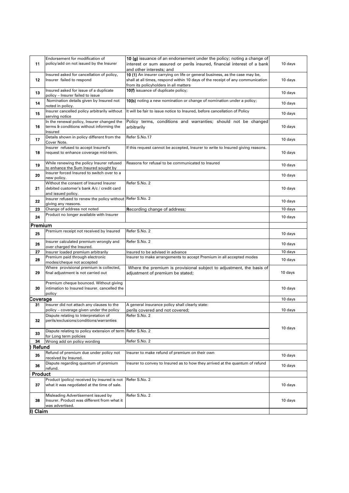| 11       | Endorsement for modification of<br>policy/add on not issued by the Insurer                                               | 10 (g) issuance of an endorsement under the policy; noting a change of<br>interest or sum assured or perils insured, financial interest of a bank<br>and other interests; and                          | $10$ days |
|----------|--------------------------------------------------------------------------------------------------------------------------|--------------------------------------------------------------------------------------------------------------------------------------------------------------------------------------------------------|-----------|
| 12       | Insured asked for cancellation of policy,<br>Insurer failed to respond                                                   | 10 (1) An insurer carrying on life or general business, as the case may be,<br>shall at all times, respond within 10 days of the receipt of any communication<br>from its policyholders in all matters | 10 days   |
| 13       | Insured asked for issue of a duplicate<br>policy – Insurer failed to issue                                               | 10(f) issuance of duplicate policy;                                                                                                                                                                    | 10 days   |
| 14       | Nomination details given by Insured not<br>noted in policy.                                                              | 10(b) noting a new nomination or change of nomination under a policy;                                                                                                                                  | 10 days   |
| 15       | Insurer cancelled policy arbitrarily without<br>serving notice                                                           | It will be fair to issue notice to Insured, before cancellation of Policy                                                                                                                              | 10 days   |
| 16       | In the renewal policy, Insurer changed the<br>terms & conditions without informing the<br>Insured                        | Policy terms, conditions and warranties; should not be changed<br>arbitrarily                                                                                                                          | $10$ days |
| 17       | Details shown in policy different from the<br>Cover Note.                                                                | Refer S.No.17                                                                                                                                                                                          | 10 days   |
| 18       | Insurer refused to accept Insured's<br>request to enhance coverage mid-term.                                             | If this request cannot be accepted, Insurer to write to Insured giving reasons.                                                                                                                        | 10 days   |
| 19       | While renewing the policy Insurer refused<br>to enhance the Sum Insured sought by                                        | Reasons for refusal to be communicated to Insured                                                                                                                                                      | 10 days   |
| 20       | Insurer forced Insured to switch over to a                                                                               |                                                                                                                                                                                                        | 10 days   |
| 21       | new policy.<br>Without the consent of Insured Insurer<br>debited customer's bank A/c / credit card<br>and issued policy. | Refer S.No. 2                                                                                                                                                                                          | 10 days   |
| 22       | Insurer refused to renew the policy without Refer S.No. 2<br>giving any reasons.                                         |                                                                                                                                                                                                        | 10 days   |
| 23       | Change of address not noted                                                                                              | Recording change of address;                                                                                                                                                                           | 10 days   |
| 24       | Product no longer available with Insurer                                                                                 |                                                                                                                                                                                                        | 10 days   |
| Premium  |                                                                                                                          |                                                                                                                                                                                                        |           |
| 25       | Premium receipt not received by Insured                                                                                  | Refer S.No. 2                                                                                                                                                                                          | 10 days   |
| 26       | Insurer calculated premium wrongly and<br>over charged the Insured.                                                      | Refer S.No. 2                                                                                                                                                                                          | 10 days   |
| 27       | Insurer loaded premium arbitrarily                                                                                       | Insured to be advised in advance                                                                                                                                                                       | 10 days   |
| 28       | Premium paid through electronic<br>modes/cheque not accepted                                                             | Insurer to make arrangements to accept Premium in all accepted modes                                                                                                                                   | 10 days   |
| 29       | Where provisional premium is collected,<br>final adjustment is not carried out                                           | Where the premium is provisional subject to adjustment, the basis of<br>adjustment of premium be stated;                                                                                               | 10 days   |
| 30       | Premium cheque bounced. Without giving<br>intimation to Insured Insurer. cancelled the<br>policy                         |                                                                                                                                                                                                        | 10 days   |
| Coverage |                                                                                                                          |                                                                                                                                                                                                        | 10 days   |
| 31       | Insurer did not attach any clauses to the<br>policy - coverage given under the policy                                    | A general insurance policy shall clearly state:<br>perils covered and not covered;                                                                                                                     | 10 days   |
| 32       | Dispute relating to Interpretation of<br>perils/exclusions/conditions/warranties                                         | Refer S.No. 2                                                                                                                                                                                          |           |
| 33       | Dispute relating to policy extension of term Refer S.No. 2<br>for Long term policies                                     |                                                                                                                                                                                                        | 10 days   |
| 34       | Wrong add on policy wording                                                                                              | Refer S.No. 2                                                                                                                                                                                          |           |
| Refund   |                                                                                                                          |                                                                                                                                                                                                        |           |
| 35       | Refund of premium due under policy not<br>received by Insured.                                                           | Insurer to make refund of premium on their own                                                                                                                                                         | $10$ days |
| 36       | Dispute regarding quantum of premium<br>refund.                                                                          | Insurer to convey to Insured as to how they arrived at the quantum of refund                                                                                                                           | 10 days   |
| Product  |                                                                                                                          |                                                                                                                                                                                                        |           |
| 37       | Product (policy) received by insured is not<br>what it was negotiated at the time of sale.                               | Refer S.No. 2                                                                                                                                                                                          | 10 days   |
| 38       | Misleading Advertisement issued by<br>Insurer. Product was different from what it<br>was advertised.                     | Refer S.No. 2                                                                                                                                                                                          | 10 days   |
| Claim    |                                                                                                                          |                                                                                                                                                                                                        |           |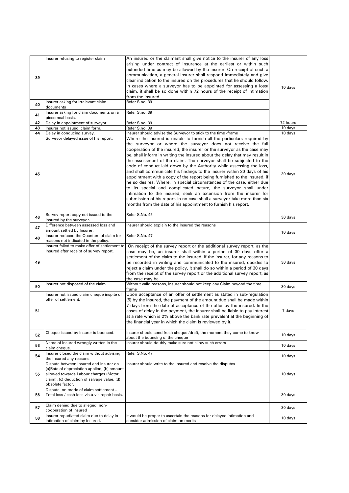| 39<br>40 | Insurer refusing to register claim<br>Insurer asking for irrelevant claim                                                                                                                         | An insured or the claimant shall give notice to the insurer of any loss<br>arising under contract of insurance at the earliest or within such<br>extended time as may be allowed by the insurer. On receipt of such a<br>communication, a general insurer shall respond immediately and give<br>clear indication to the insured on the procedures that he should follow.<br>In cases where a surveyor has to be appointed for assessing a loss/<br>claim, it shall be so done within 72 hours of the receipt of intimation<br>from the insured.<br>Refer S.no. 39                                                                                                                                                                                                                                                                                                                                                                                                     | 10 days  |
|----------|---------------------------------------------------------------------------------------------------------------------------------------------------------------------------------------------------|-----------------------------------------------------------------------------------------------------------------------------------------------------------------------------------------------------------------------------------------------------------------------------------------------------------------------------------------------------------------------------------------------------------------------------------------------------------------------------------------------------------------------------------------------------------------------------------------------------------------------------------------------------------------------------------------------------------------------------------------------------------------------------------------------------------------------------------------------------------------------------------------------------------------------------------------------------------------------|----------|
| 41       | documents<br>Insurer asking for claim documents on a                                                                                                                                              | Refer S.no. 39                                                                                                                                                                                                                                                                                                                                                                                                                                                                                                                                                                                                                                                                                                                                                                                                                                                                                                                                                        |          |
| 42       | piecemeal basis.<br>Delay in appointment of surveyor                                                                                                                                              |                                                                                                                                                                                                                                                                                                                                                                                                                                                                                                                                                                                                                                                                                                                                                                                                                                                                                                                                                                       | 72 hours |
| 43       | Insurer not issued claim form.                                                                                                                                                                    | Refer S.no. 39<br>Refer S.no. 39                                                                                                                                                                                                                                                                                                                                                                                                                                                                                                                                                                                                                                                                                                                                                                                                                                                                                                                                      | 10 days  |
| 44       | Delay in conducing survey.                                                                                                                                                                        | Insurer should advise the Surveyor to stick to the time -frame                                                                                                                                                                                                                                                                                                                                                                                                                                                                                                                                                                                                                                                                                                                                                                                                                                                                                                        | 10 days  |
| 45       | Surveyor delayed issue of his report.                                                                                                                                                             | Where the insured is unable to furnish all the particulars required by<br>the surveyor or where the surveyor does not receive the full<br>cooperation of the insured, the insurer or the surveyor as the case may<br>be, shall inform in writing the insured about the delay that may result in<br>the assessment of the claim. The surveyor shall be subjected to the<br>code of conduct laid down by the Authority while assessing the loss,<br>and shall communicate his findings to the insurer within 30 days of his<br>appointment with a copy of the report being furnished to the insured, if<br>he so desires. Where, in special circumstances of the case, either due<br>to its special and complicated nature, the surveyor shall under<br>intimation to the insured, seek an extension from the insurer for<br>submission of his report. In no case shall a surveyor take more than six<br>months from the date of his appointment to furnish his report. | 30 days  |
| 46       | Survey report copy not issued to the<br>Insured by the surveyor.                                                                                                                                  | Refer S.No. 45                                                                                                                                                                                                                                                                                                                                                                                                                                                                                                                                                                                                                                                                                                                                                                                                                                                                                                                                                        | 30 days  |
| 47       | Difference between assessed loss and<br>amount settled by Insurer.                                                                                                                                | Insurer should explain to the Insured the reasons                                                                                                                                                                                                                                                                                                                                                                                                                                                                                                                                                                                                                                                                                                                                                                                                                                                                                                                     | 10 days  |
| 48       | Insurer reduced the Quantum of claim for<br>reasons not indicated in the policy.                                                                                                                  | Refer S.No. 47                                                                                                                                                                                                                                                                                                                                                                                                                                                                                                                                                                                                                                                                                                                                                                                                                                                                                                                                                        |          |
| 49       | Insurer failed to make offer of settlement to<br>Insured after receipt of survey report.                                                                                                          | On receipt of the survey report or the additional survey report, as the<br>case may be, an insurer shall within a period of 30 days offer a<br>settlement of the claim to the insured. If the insurer, for any reasons to<br>be recorded in writing and communicated to the insured, decides to<br>reject a claim under the policy, it shall do so within a period of 30 days<br>from the receipt of the survey report or the additional survey report, as<br>the case may be.                                                                                                                                                                                                                                                                                                                                                                                                                                                                                        | 30 days  |
| 50       | Insurer not disposed of the claim                                                                                                                                                                 | Without valid reasons, Insurer should not keep any Claim beyond the time<br>trame                                                                                                                                                                                                                                                                                                                                                                                                                                                                                                                                                                                                                                                                                                                                                                                                                                                                                     | 30 days  |
| 51       | Insurer not issued claim cheque inspite of<br>offer of settlement.                                                                                                                                | Upon acceptance of an offer of settlement as stated in sub-regulation<br>(5) by the insured, the payment of the amount due shall be made within<br>7 days from the date of acceptance of the offer by the insured. In the<br>cases of delay in the payment, the insurer shall be liable to pay interest<br>at a rate which is 2% above the bank rate prevalent at the beginning of<br>the financial year in which the claim is reviewed by it.                                                                                                                                                                                                                                                                                                                                                                                                                                                                                                                        | 7 days   |
| 52       | Cheque issued by Insurer is bounced.                                                                                                                                                              | Insurer should send fresh cheque /draft, the moment they come to know<br>about the bouncing of the cheque                                                                                                                                                                                                                                                                                                                                                                                                                                                                                                                                                                                                                                                                                                                                                                                                                                                             | 10 days  |
| 53       | Name of Insured wrongly written in the<br>claim cheque.                                                                                                                                           | Insurer should doubly make sure not allow such errors                                                                                                                                                                                                                                                                                                                                                                                                                                                                                                                                                                                                                                                                                                                                                                                                                                                                                                                 | 10 days  |
| 54       | Insurer closed the claim without advising<br>the Insured any reasons.                                                                                                                             | Refer S.No. 47                                                                                                                                                                                                                                                                                                                                                                                                                                                                                                                                                                                                                                                                                                                                                                                                                                                                                                                                                        | 10 days  |
| 55       | Dispute between Insured and Insurer on<br>(a)Rate of depreciation applied, (b) amount<br>allowed towards Labour charges (Motor<br>claim), (c) deduction of salvage value, (d)<br>obsolete factor. | Insurer should write to the Insured and resolve the disputes                                                                                                                                                                                                                                                                                                                                                                                                                                                                                                                                                                                                                                                                                                                                                                                                                                                                                                          | 10 days  |
| 56       | Dispute on mode of claim settlement -<br>Total loss / cash loss vis-à-vis repair basis.                                                                                                           |                                                                                                                                                                                                                                                                                                                                                                                                                                                                                                                                                                                                                                                                                                                                                                                                                                                                                                                                                                       | 30 days  |
| 57       | Claim denied due to alleged non-<br>cooperation of Insured                                                                                                                                        |                                                                                                                                                                                                                                                                                                                                                                                                                                                                                                                                                                                                                                                                                                                                                                                                                                                                                                                                                                       | 30 days  |
| 58       | Insurer repudiated claim due to delay in<br>intimation of claim by Insured.                                                                                                                       | It would be proper to ascertain the reasons for delayed intimation and<br>consider admission of claim on merits                                                                                                                                                                                                                                                                                                                                                                                                                                                                                                                                                                                                                                                                                                                                                                                                                                                       | 10 days  |
|          |                                                                                                                                                                                                   |                                                                                                                                                                                                                                                                                                                                                                                                                                                                                                                                                                                                                                                                                                                                                                                                                                                                                                                                                                       |          |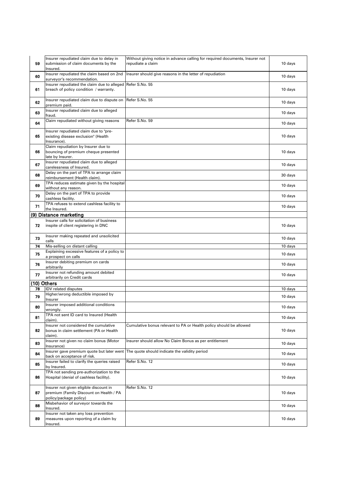| 59          | Insurer repudiated claim due to delay in<br>submission of claim documents by the<br>Insured.                | Without giving notice in advance calling for required documents, Insurer not<br>repudiate a claim | 10 days   |
|-------------|-------------------------------------------------------------------------------------------------------------|---------------------------------------------------------------------------------------------------|-----------|
| 60          | Insurer repudiated the claim based on 2nd<br>surveyor's recommendation.                                     | Insurer should give reasons in the letter of repudiation                                          | 10 days   |
| 61          | Insurer repudiated the claim due to alleged Refer S.No. 55<br>breach of policy condition / warranty.        |                                                                                                   | 10 days   |
| 62          | Insurer repudiated claim due to dispute on<br>premium paid.                                                 | Refer S.No. 55                                                                                    | 10 days   |
| 63          | Insurer repudiated claim due to alleged<br>fraud.                                                           |                                                                                                   | 10 days   |
| 64          | Claim repudiated without giving reasons                                                                     | Refer S.No. 59                                                                                    | 10 days   |
| 65          | Insurer repudiated claim due to "pre-<br>existing disease exclusion" (Health<br>Insurance).                 |                                                                                                   | 10 days   |
| 66          | Claim repudiation by Insurer due to<br>bouncing of premium cheque presented<br>late by Insurer.             |                                                                                                   | 10 days   |
| 67          | Insurer repudiated claim due to alleged<br>carelessness of Insured.                                         |                                                                                                   | 10 days   |
| 68          | Delay on the part of TPA to arrange claim<br>reimbursement (Health claim).                                  |                                                                                                   | 30 days   |
| 69          | TPA reduces estimate given by the hospital<br>without any reason.                                           |                                                                                                   | 10 days   |
| 70          | Delay on the part of TPA to provide<br>cashless facility.                                                   |                                                                                                   | $10$ days |
| 71          | TPA refuses to extend cashless facility to<br>the Insured.                                                  |                                                                                                   | 10 days   |
|             | (9) Distance marketing                                                                                      |                                                                                                   |           |
| 72          | Insurer calls for solicitation of business<br>inspite of client registering in DNC                          |                                                                                                   | 10 days   |
| 73          | Insurer making repeated and unsolicited<br>calls                                                            |                                                                                                   | 10 days   |
| 74          | Mis-selling on distant calling                                                                              |                                                                                                   | 10 days   |
| 75          | Explaining excessive features of a policy to<br>a prospect on calls                                         |                                                                                                   | 10 days   |
| 76          | Insurer debiting premium on cards<br>arbitrarily                                                            |                                                                                                   | 10 days   |
| 77          | Insurer not refunding amount debited<br>arbitrarily on Credit cards                                         |                                                                                                   | 10 days   |
| (10) Others |                                                                                                             |                                                                                                   |           |
| 78          | <b>IDV</b> related disputes                                                                                 |                                                                                                   | 10 days   |
| 79          | Higher/wrong deductible imposed by<br>Insurer                                                               |                                                                                                   | 10 days   |
| 80          | Insurer imposed additional conditions<br>wrongly.                                                           |                                                                                                   | 10 days   |
| 81          | TPA not sent ID card to Insured (Health<br>claim).                                                          |                                                                                                   | 10 days   |
| 82          | Insurer not considered the cumulative<br>bonus in claim settlement (PA or Health<br>claim).                 | Cumulative bonus relevant to PA or Health policy should be allowed                                | 10 days   |
| 83          | Insurer not given no claim bonus (Motor<br>Insurance)                                                       | Insurer should allow No Claim Bonus as per entitlement                                            | 10 days   |
| 84          | Insurer gave premium quote but later went<br>back on acceptance of risk.                                    | The quote should indicate the validity period                                                     | 10 days   |
| 85          | Insurer failed to clarify the queries raised<br>by Insured.                                                 | Refer S.No. 12                                                                                    | 10 days   |
| 86          | TPA not sending pre-authorization to the<br>Hospital (denial of cashless facility).                         |                                                                                                   | 10 days   |
| 87          | Insurer not given eligible discount in<br>premium (Family Discount on Health / PA<br>policy/package policy) | Refer S.No. 12                                                                                    | $10$ days |
| 88          | Misbehavior of surveyor towards the<br>Insured.                                                             |                                                                                                   | 10 days   |
| 89          | Insurer not taken any loss prevention<br>measures upon reporting of a claim by<br>Insured.                  |                                                                                                   | 10 days   |